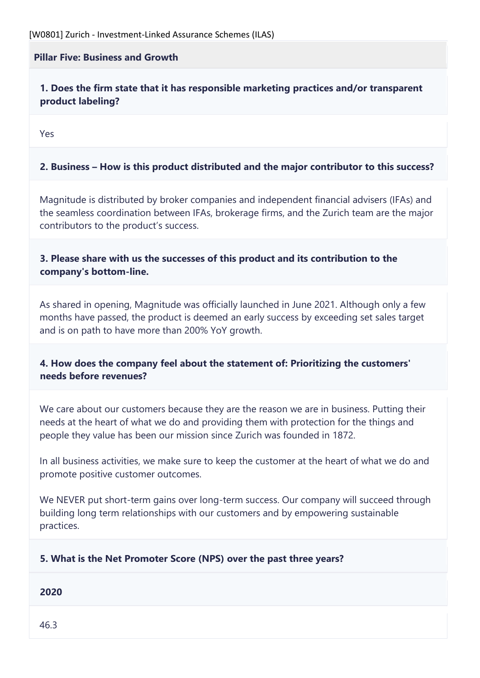## **Pillar Five: Business and Growth**

**1. Does the firm state that it has responsible marketing practices and/or transparent product labeling?**

Yes

## **2. Business – How is this product distributed and the major contributor to this success?**

Magnitude is distributed by broker companies and independent financial advisers (IFAs) and the seamless coordination between IFAs, brokerage firms, and the Zurich team are the major contributors to the product's success.

## **3. Please share with us the successes of this product and its contribution to the company's bottom-line.**

As shared in opening, Magnitude was officially launched in June 2021. Although only a few months have passed, the product is deemed an early success by exceeding set sales target and is on path to have more than 200% YoY growth.

# **4. How does the company feel about the statement of: Prioritizing the customers' needs before revenues?**

We care about our customers because they are the reason we are in business. Putting their needs at the heart of what we do and providing them with protection for the things and people they value has been our mission since Zurich was founded in 1872.

In all business activities, we make sure to keep the customer at the heart of what we do and promote positive customer outcomes.

We NEVER put short-term gains over long-term success. Our company will succeed through building long term relationships with our customers and by empowering sustainable practices.

#### **5. What is the Net Promoter Score (NPS) over the past three years?**

**2020**